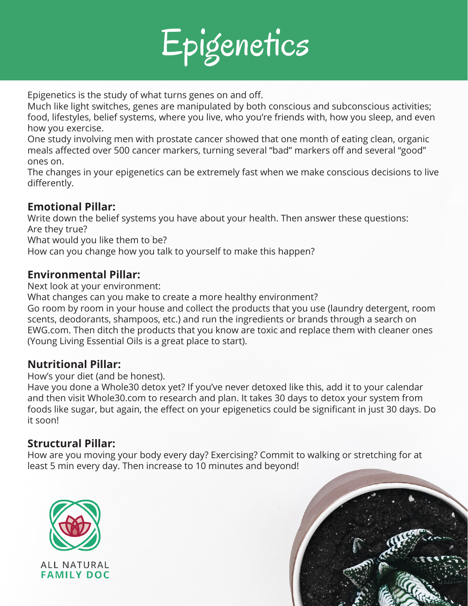

Epigenetics is the study of what turns genes on and off.

Much like light switches, genes are manipulated by both conscious and subconscious activities; food, lifestyles, belief systems, where you live, who you're friends with, how you sleep, and even how you exercise.

One study involving men with prostate cancer showed that one month of eating clean, organic meals affected over 500 cancer markers, turning several "bad" markers off and several "good" ones on.

The changes in your epigenetics can be extremely fast when we make conscious decisions to live differently.

# **Emotional Pillar:**

Write down the belief systems you have about your health. Then answer these questions: Are they true? What would you like them to be?

How can you change how you talk to yourself to make this happen?

## **Environmental Pillar:**

Next look at your environment:

What changes can you make to create a more healthy environment?

Go room by room in your house and collect the products that you use (laundry detergent, room scents, deodorants, shampoos, etc.) and run the ingredients or brands through a search on EWG.com. Then ditch the products that you know are toxic and replace them with cleaner ones (Young Living Essential Oils is a great place to start).

### **Nutritional Pillar:**

How's your diet (and be honest).

Have you done a Whole30 detox yet? If you've never detoxed like this, add it to your calendar and then visit Whole30.com to research and plan. It takes 30 days to detox your system from foods like sugar, but again, the effect on your epigenetics could be significant in just 30 days. Do it soon!

### **Structural Pillar:**

How are you moving your body every day? Exercising? Commit to walking or stretching for at least 5 min every day. Then increase to 10 minutes and beyond!